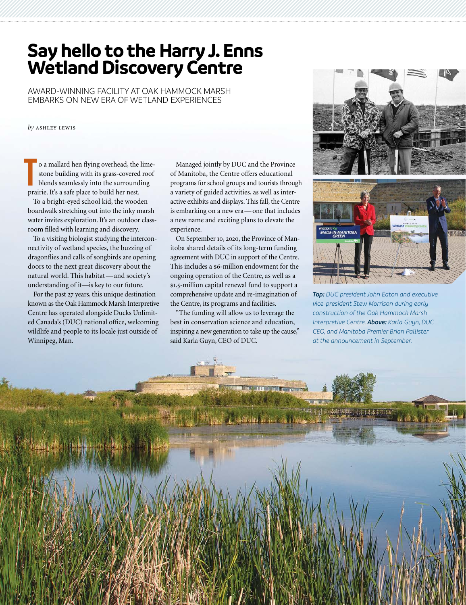## **Say hello to the Harry J. Enns Wetland Discovery Centre**

AWARD-WINNING FACILITY AT OAK HAMMOCK MARSH EMBARKS ON NEW ERA OF WETLAND EXPERIENCES

*by* ashley lewis

o a mallard hen flying overhead, the limestone building with its grass-covered roof blends seamlessly into the surrounding prairie. It's a safe place to build her nest. **T**

To a bright-eyed school kid, the wooden boardwalk stretching out into the inky marsh water invites exploration. It's an outdoor classroom filled with learning and discovery.

To a visiting biologist studying the interconnectivity of wetland species, the buzzing of dragonflies and calls of songbirds are opening doors to the next great discovery about the natural world. This habitat—and society's understanding of it—is key to our future.

For the past 27 years, this unique destination known as the Oak Hammock Marsh Interpretive Centre has operated alongside Ducks Unlimited Canada's (DUC) national office, welcoming wildlife and people to its locale just outside of Winnipeg, Man.

Managed jointly by DUC and the Province of Manitoba, the Centre offers educational programs for school groups and tourists through a variety of guided activities, as well as interactive exhibits and displays. This fall, the Centre is embarking on a new era—one that includes a new name and exciting plans to elevate the experience.

On September 10, 2020, the Province of Manitoba shared details of its long-term funding agreement with DUC in support of the Centre. This includes a \$6-million endowment for the ongoing operation of the Centre, as well as a \$1.5-million capital renewal fund to support a comprehensive update and re-imagination of the Centre, its programs and facilities.

"The funding will allow us to leverage the best in conservation science and education, inspiring a new generation to take up the cause," said Karla Guyn, CEO of DUC.



*Top: DUC president John Eaton and executive vice-president Stew Morrison during early construction of the Oak Hammock Marsh Interpretive Centre. Above: Karla Guyn, DUC CEO, and Manitoba Premier Brian Pallister at the announcement in September.*